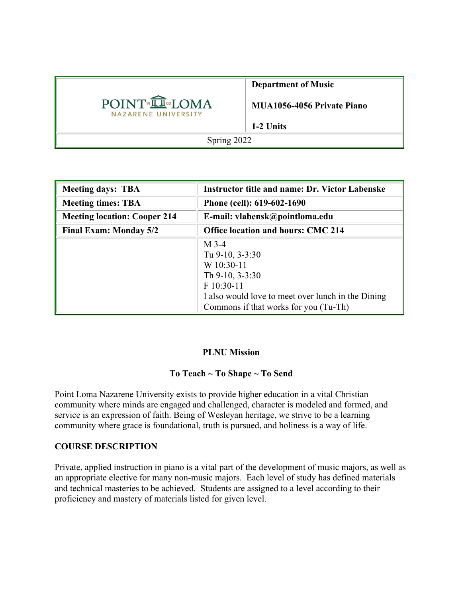|                                                 | <b>Department of Music</b>        |  |
|-------------------------------------------------|-----------------------------------|--|
| POINT <sup>®</sup> ILOMA<br>NAZARENE UNIVERSITY | <b>MUA1056-4056 Private Piano</b> |  |
|                                                 | 1-2 Units                         |  |
| Spring 2022                                     |                                   |  |

| <b>Meeting days: TBA</b>            | <b>Instructor title and name: Dr. Victor Labenske</b>                                                                                                                    |  |
|-------------------------------------|--------------------------------------------------------------------------------------------------------------------------------------------------------------------------|--|
| <b>Meeting times: TBA</b>           | Phone (cell): 619-602-1690                                                                                                                                               |  |
| <b>Meeting location: Cooper 214</b> | E-mail: vlabensk@pointloma.edu                                                                                                                                           |  |
| <b>Final Exam: Monday 5/2</b>       | <b>Office location and hours: CMC 214</b>                                                                                                                                |  |
|                                     | $M$ 3-4<br>Tu 9-10, 3-3:30<br>W 10:30-11<br>Th 9-10, 3-3:30<br>F 10:30-11<br>I also would love to meet over lunch in the Dining<br>Commons if that works for you (Tu-Th) |  |

### **PLNU Mission**

### **To Teach ~ To Shape ~ To Send**

Point Loma Nazarene University exists to provide higher education in a vital Christian community where minds are engaged and challenged, character is modeled and formed, and service is an expression of faith. Being of Wesleyan heritage, we strive to be a learning community where grace is foundational, truth is pursued, and holiness is a way of life.

#### **COURSE DESCRIPTION**

Private, applied instruction in piano is a vital part of the development of music majors, as well as an appropriate elective for many non-music majors. Each level of study has defined materials and technical masteries to be achieved. Students are assigned to a level according to their proficiency and mastery of materials listed for given level.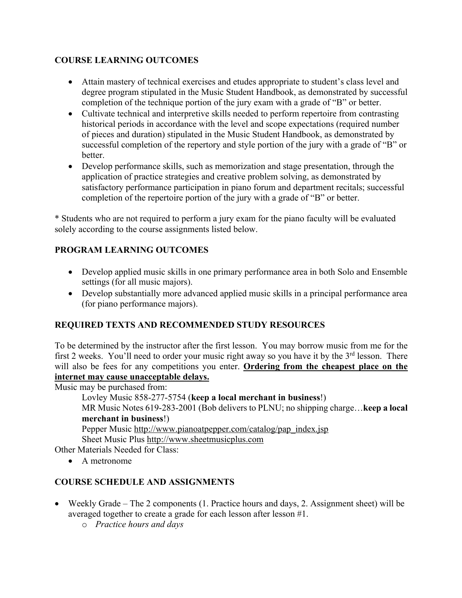# **COURSE LEARNING OUTCOMES**

- Attain mastery of technical exercises and etudes appropriate to student's class level and degree program stipulated in the Music Student Handbook, as demonstrated by successful completion of the technique portion of the jury exam with a grade of "B" or better.
- Cultivate technical and interpretive skills needed to perform repertoire from contrasting historical periods in accordance with the level and scope expectations (required number of pieces and duration) stipulated in the Music Student Handbook, as demonstrated by successful completion of the repertory and style portion of the jury with a grade of "B" or better.
- Develop performance skills, such as memorization and stage presentation, through the application of practice strategies and creative problem solving, as demonstrated by satisfactory performance participation in piano forum and department recitals; successful completion of the repertoire portion of the jury with a grade of "B" or better.

\* Students who are not required to perform a jury exam for the piano faculty will be evaluated solely according to the course assignments listed below.

### **PROGRAM LEARNING OUTCOMES**

- Develop applied music skills in one primary performance area in both Solo and Ensemble settings (for all music majors).
- Develop substantially more advanced applied music skills in a principal performance area (for piano performance majors).

### **REQUIRED TEXTS AND RECOMMENDED STUDY RESOURCES**

To be determined by the instructor after the first lesson. You may borrow music from me for the first 2 weeks. You'll need to order your music right away so you have it by the  $3<sup>rd</sup>$  lesson. There will also be fees for any competitions you enter. **Ordering from the cheapest place on the internet may cause unacceptable delays.**

Music may be purchased from:

```
Lovley Music 858-277-5754 (keep a local merchant in business!)
```
MR Music Notes 619-283-2001 (Bob delivers to PLNU; no shipping charge…**keep a local merchant in business**!)

Pepper Music http://www.pianoatpepper.com/catalog/pap\_index.jsp Sheet Music Plus http://www.sheetmusicplus.com

Other Materials Needed for Class:

• A metronome

# **COURSE SCHEDULE AND ASSIGNMENTS**

- Weekly Grade The 2 components (1. Practice hours and days, 2. Assignment sheet) will be averaged together to create a grade for each lesson after lesson #1.
	- o *Practice hours and days*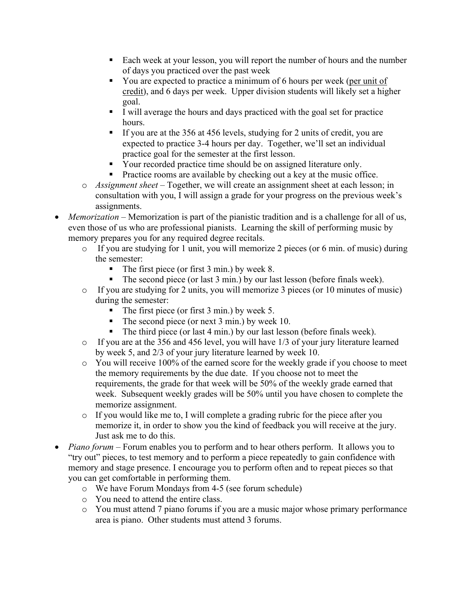- Each week at your lesson, you will report the number of hours and the number of days you practiced over the past week
- You are expected to practice a minimum of 6 hours per week (per unit of credit), and 6 days per week. Upper division students will likely set a higher goal.
- § I will average the hours and days practiced with the goal set for practice hours.
- If you are at the 356 at 456 levels, studying for 2 units of credit, you are expected to practice 3-4 hours per day. Together, we'll set an individual practice goal for the semester at the first lesson.
- Your recorded practice time should be on assigned literature only.
- Practice rooms are available by checking out a key at the music office.
- o *Assignment sheet –* Together, we will create an assignment sheet at each lesson; in consultation with you, I will assign a grade for your progress on the previous week's assignments.
- *Memorization* Memorization is part of the pianistic tradition and is a challenge for all of us, even those of us who are professional pianists. Learning the skill of performing music by memory prepares you for any required degree recitals.
	- o If you are studying for 1 unit, you will memorize 2 pieces (or 6 min. of music) during the semester:
		- The first piece (or first 3 min.) by week 8.
		- The second piece (or last 3 min.) by our last lesson (before finals week).
	- o If you are studying for 2 units, you will memorize 3 pieces (or 10 minutes of music) during the semester:
		- The first piece (or first 3 min.) by week 5.
		- The second piece (or next 3 min.) by week 10.
		- The third piece (or last 4 min.) by our last lesson (before finals week).
	- o If you are at the 356 and 456 level, you will have 1/3 of your jury literature learned by week 5, and 2/3 of your jury literature learned by week 10.
	- o You will receive 100% of the earned score for the weekly grade if you choose to meet the memory requirements by the due date. If you choose not to meet the requirements, the grade for that week will be 50% of the weekly grade earned that week. Subsequent weekly grades will be 50% until you have chosen to complete the memorize assignment.
	- o If you would like me to, I will complete a grading rubric for the piece after you memorize it, in order to show you the kind of feedback you will receive at the jury. Just ask me to do this.
- *Piano forum –* Forum enables you to perform and to hear others perform. It allows you to "try out" pieces, to test memory and to perform a piece repeatedly to gain confidence with memory and stage presence. I encourage you to perform often and to repeat pieces so that you can get comfortable in performing them.
	- o We have Forum Mondays from 4-5 (see forum schedule)
	- o You need to attend the entire class.
	- o You must attend 7 piano forums if you are a music major whose primary performance area is piano. Other students must attend 3 forums.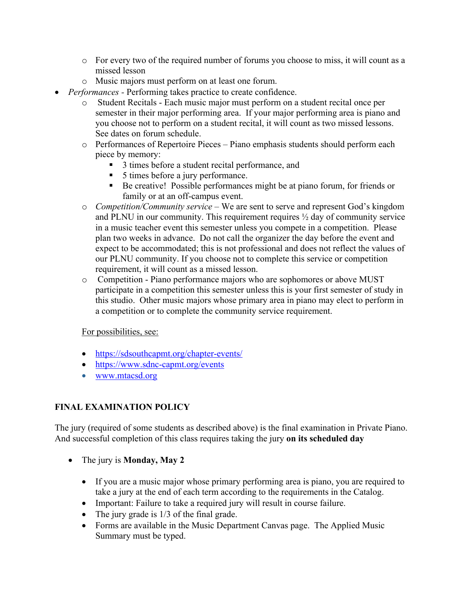- o For every two of the required number of forums you choose to miss, it will count as a missed lesson
- o Music majors must perform on at least one forum.
- *Performances -* Performing takes practice to create confidence.
	- o Student Recitals Each music major must perform on a student recital once per semester in their major performing area. If your major performing area is piano and you choose not to perform on a student recital, it will count as two missed lessons. See dates on forum schedule.
	- o Performances of Repertoire Pieces Piano emphasis students should perform each piece by memory:
		- 3 times before a student recital performance, and
		- 5 times before a jury performance.
		- Be creative! Possible performances might be at piano forum, for friends or family or at an off-campus event.
	- o *Competition/Community service* We are sent to serve and represent God's kingdom and PLNU in our community. This requirement requires ½ day of community service in a music teacher event this semester unless you compete in a competition. Please plan two weeks in advance. Do not call the organizer the day before the event and expect to be accommodated; this is not professional and does not reflect the values of our PLNU community. If you choose not to complete this service or competition requirement, it will count as a missed lesson.
	- o Competition Piano performance majors who are sophomores or above MUST participate in a competition this semester unless this is your first semester of study in this studio. Other music majors whose primary area in piano may elect to perform in a competition or to complete the community service requirement.

### For possibilities, see:

- https://sdsouthcapmt.org/chapter-events/
- https://www.sdnc-capmt.org/events
- www.mtacsd.org

# **FINAL EXAMINATION POLICY**

The jury (required of some students as described above) is the final examination in Private Piano. And successful completion of this class requires taking the jury **on its scheduled day** 

- The jury is **Monday, May 2**
	- If you are a music major whose primary performing area is piano, you are required to take a jury at the end of each term according to the requirements in the Catalog.
	- Important: Failure to take a required jury will result in course failure.
	- The jury grade is  $1/3$  of the final grade.
	- Forms are available in the Music Department Canvas page. The Applied Music Summary must be typed.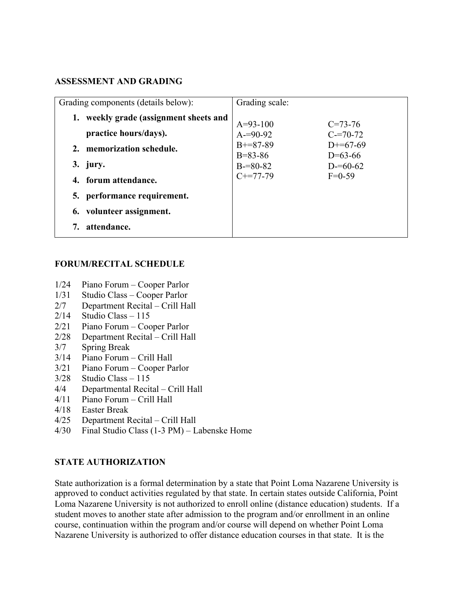### **ASSESSMENT AND GRADING**

| Grading components (details below):                          | Grading scale:              |                              |
|--------------------------------------------------------------|-----------------------------|------------------------------|
| weekly grade (assignment sheets and<br>practice hours/days). | $A=93-100$<br>$A = 90 - 92$ | $C = 73 - 76$<br>$C = 70-72$ |
| memorization schedule.<br>2.                                 | $B+=87-89$<br>$B = 83 - 86$ | $D+=67-69$<br>$D=63-66$      |
| 3. jury.                                                     | $B = 80 - 82$               | $D = 60 - 62$                |
| 4. forum attendance.                                         | $C+=77-79$                  | $F=0-59$                     |
| 5. performance requirement.                                  |                             |                              |
| 6. volunteer assignment.                                     |                             |                              |
| attendance.                                                  |                             |                              |

#### **FORUM/RECITAL SCHEDULE**

- 1/24 Piano Forum Cooper Parlor
- 1/31 Studio Class Cooper Parlor
- 2/7 Department Recital Crill Hall
- $2/14$  Studio Class 115
- 2/21 Piano Forum Cooper Parlor
- 2/28 Department Recital Crill Hall
- 3/7 Spring Break
- 3/14 Piano Forum Crill Hall
- 3/21 Piano Forum Cooper Parlor
- 3/28 Studio Class 115
- 4/4 Departmental Recital Crill Hall
- 4/11 Piano Forum Crill Hall
- 4/18 Easter Break
- 4/25 Department Recital Crill Hall
- 4/30 Final Studio Class (1-3 PM) Labenske Home

#### **STATE AUTHORIZATION**

State authorization is a formal determination by a state that Point Loma Nazarene University is approved to conduct activities regulated by that state. In certain states outside California, Point Loma Nazarene University is not authorized to enroll online (distance education) students. If a student moves to another state after admission to the program and/or enrollment in an online course, continuation within the program and/or course will depend on whether Point Loma Nazarene University is authorized to offer distance education courses in that state. It is the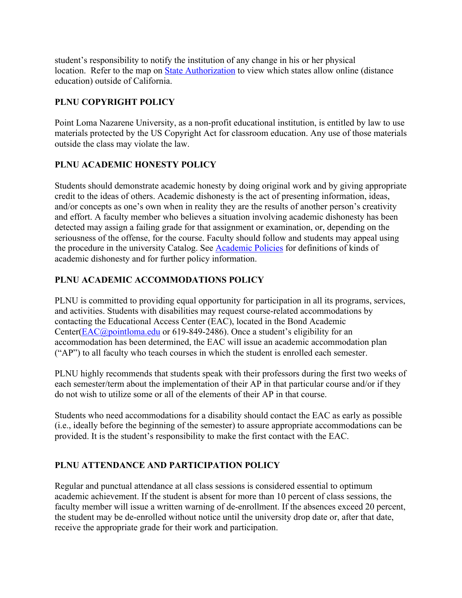student's responsibility to notify the institution of any change in his or her physical location. Refer to the map on State Authorization to view which states allow online (distance education) outside of California.

# **PLNU COPYRIGHT POLICY**

Point Loma Nazarene University, as a non-profit educational institution, is entitled by law to use materials protected by the US Copyright Act for classroom education. Any use of those materials outside the class may violate the law.

# **PLNU ACADEMIC HONESTY POLICY**

Students should demonstrate academic honesty by doing original work and by giving appropriate credit to the ideas of others. Academic dishonesty is the act of presenting information, ideas, and/or concepts as one's own when in reality they are the results of another person's creativity and effort. A faculty member who believes a situation involving academic dishonesty has been detected may assign a failing grade for that assignment or examination, or, depending on the seriousness of the offense, for the course. Faculty should follow and students may appeal using the procedure in the university Catalog. See Academic Policies for definitions of kinds of academic dishonesty and for further policy information.

# **PLNU ACADEMIC ACCOMMODATIONS POLICY**

PLNU is committed to providing equal opportunity for participation in all its programs, services, and activities. Students with disabilities may request course-related accommodations by contacting the Educational Access Center (EAC), located in the Bond Academic Center(EAC@pointloma.edu or 619-849-2486). Once a student's eligibility for an accommodation has been determined, the EAC will issue an academic accommodation plan ("AP") to all faculty who teach courses in which the student is enrolled each semester.

PLNU highly recommends that students speak with their professors during the first two weeks of each semester/term about the implementation of their AP in that particular course and/or if they do not wish to utilize some or all of the elements of their AP in that course.

Students who need accommodations for a disability should contact the EAC as early as possible (i.e., ideally before the beginning of the semester) to assure appropriate accommodations can be provided. It is the student's responsibility to make the first contact with the EAC.

# **PLNU ATTENDANCE AND PARTICIPATION POLICY**

Regular and punctual attendance at all class sessions is considered essential to optimum academic achievement. If the student is absent for more than 10 percent of class sessions, the faculty member will issue a written warning of de-enrollment. If the absences exceed 20 percent, the student may be de-enrolled without notice until the university drop date or, after that date, receive the appropriate grade for their work and participation.